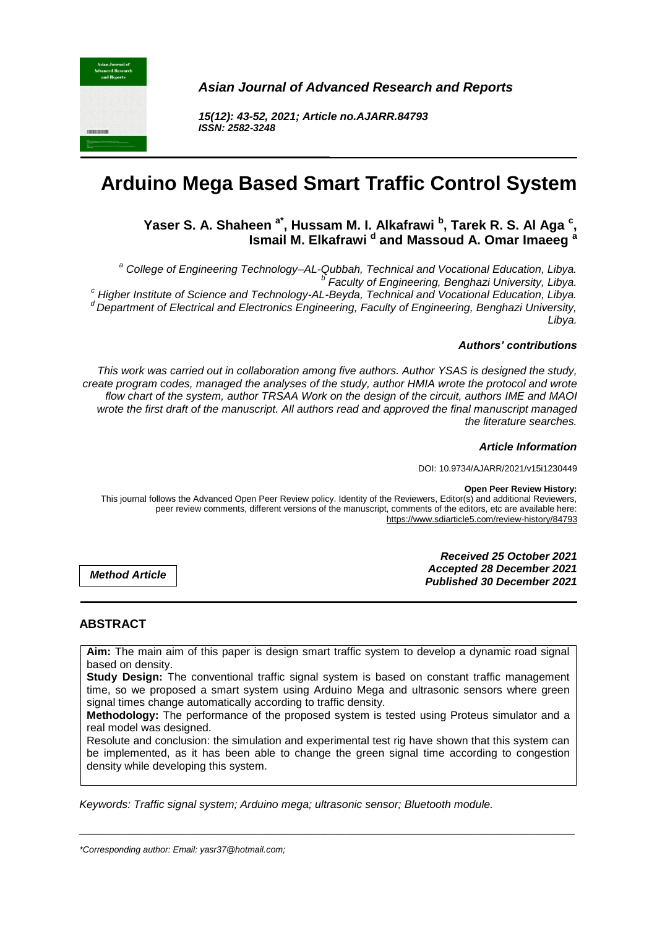

*Asian Journal of Advanced Research and Reports*

*15(12): 43-52, 2021; Article no.AJARR.84793 ISSN: 2582-3248*

# **Arduino Mega Based Smart Traffic Control System**

# **Yaser S. A. Shaheen a\*, Hussam M. I. Alkafrawi <sup>b</sup> , Tarek R. S. Al Aga <sup>c</sup> , Ismail M. Elkafrawi <sup>d</sup> and Massoud A. Omar Imaeeg <sup>a</sup>**

*<sup>a</sup> College of Engineering Technology–AL-Qubbah, Technical and Vocational Education, Libya. b Faculty of Engineering, Benghazi University, Libya. <sup>c</sup> Higher Institute of Science and Technology-AL-Beyda, Technical and Vocational Education, Libya. <sup>d</sup>Department of Electrical and Electronics Engineering, Faculty of Engineering, Benghazi University, Libya.* 

#### *Authors' contributions*

*This work was carried out in collaboration among five authors. Author YSAS is designed the study, create program codes, managed the analyses of the study, author HMIA wrote the protocol and wrote flow chart of the system, author TRSAA Work on the design of the circuit, authors IME and MAOI wrote the first draft of the manuscript. All authors read and approved the final manuscript managed the literature searches.*

#### *Article Information*

DOI: 10.9734/AJARR/2021/v15i1230449

#### **Open Peer Review History:**

This journal follows the Advanced Open Peer Review policy. Identity of the Reviewers, Editor(s) and additional Reviewers, peer review comments, different versions of the manuscript, comments of the editors, etc are available here: https://www.sdiarticle5.com/review-history/84793

*Method Article*

*Received 25 October 2021 Accepted 28 December 2021 Published 30 December 2021*

# **ABSTRACT**

**Aim:** The main aim of this paper is design smart traffic system to develop a dynamic road signal based on density.

**Study Design:** The conventional traffic signal system is based on constant traffic management time, so we proposed a smart system using Arduino Mega and ultrasonic sensors where green signal times change automatically according to traffic density.

**Methodology:** The performance of the proposed system is tested using Proteus simulator and a real model was designed.

Resolute and conclusion: the simulation and experimental test rig have shown that this system can be implemented, as it has been able to change the green signal time according to congestion density while developing this system.

\_\_\_\_\_\_\_\_\_\_\_\_\_\_\_\_\_\_\_\_\_\_\_\_\_\_\_\_\_\_\_\_\_\_\_\_\_\_\_\_\_\_\_\_\_\_\_\_\_\_\_\_\_\_\_\_\_\_\_\_\_\_\_\_\_\_\_\_\_\_\_\_\_\_\_\_\_\_\_\_\_\_\_\_\_\_\_\_\_\_\_\_\_\_\_\_\_\_\_\_\_

*Keywords: Traffic signal system; Arduino mega; ultrasonic sensor; Bluetooth module.*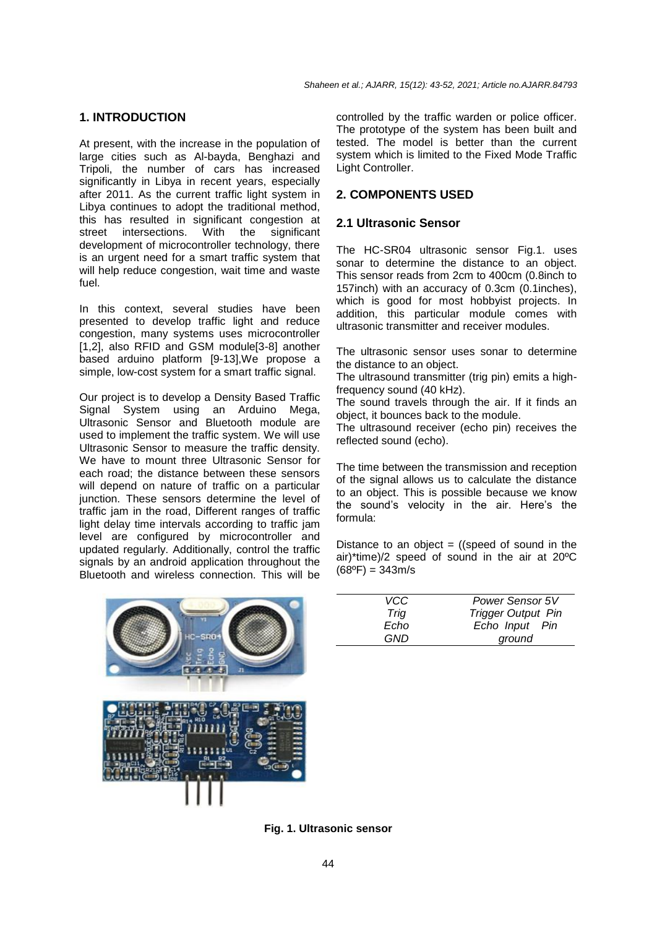## **1. INTRODUCTION**

At present, with the increase in the population of large cities such as Al-bayda, Benghazi and Tripoli, the number of cars has increased significantly in Libya in recent years, especially after 2011. As the current traffic light system in Libya continues to adopt the traditional method, this has resulted in significant congestion at street intersections. With the significant development of microcontroller technology, there is an urgent need for a smart traffic system that will help reduce congestion, wait time and waste fuel.

In this context, several studies have been presented to develop traffic light and reduce congestion, many systems uses microcontroller [1,2], also RFID and GSM module[3-8] another based arduino platform [9-13],We propose a simple, low-cost system for a smart traffic signal.

Our project is to develop a Density Based Traffic Signal System using an Arduino Mega, Ultrasonic Sensor and Bluetooth module are used to implement the traffic system. We will use Ultrasonic Sensor to measure the traffic density. We have to mount three Ultrasonic Sensor for each road; the distance between these sensors will depend on nature of traffic on a particular junction. These sensors determine the level of traffic jam in the road, Different ranges of traffic light delay time intervals according to traffic jam level are configured by microcontroller and updated regularly. Additionally, control the traffic signals by an android application throughout the Bluetooth and wireless connection. This will be

controlled by the traffic warden or police officer. The prototype of the system has been built and tested. The model is better than the current system which is limited to the Fixed Mode Traffic Light Controller.

# **2. COMPONENTS USED**

## **2.1 Ultrasonic Sensor**

The HC-SR04 ultrasonic sensor Fig.1. uses sonar to determine the distance to an object. This sensor reads from 2cm to 400cm (0.8inch to 157inch) with an accuracy of 0.3cm (0.1inches), which is good for most hobbyist projects. In addition, this particular module comes with ultrasonic transmitter and receiver modules.

The ultrasonic sensor uses sonar to determine the distance to an object.

The ultrasound transmitter (trig pin) emits a highfrequency sound (40 kHz).

The sound travels through the air. If it finds an object, it bounces back to the module.

The ultrasound receiver (echo pin) receives the reflected sound (echo).

The time between the transmission and reception of the signal allows us to calculate the distance to an object. This is possible because we know the sound's velocity in the air. Here's the formula:

Distance to an object  $=$  ((speed of sound in the air)\*time)/2 speed of sound in the air at 20ºC  $(68^{\circ}F) = 343m/s$ 



| VCC. | <b>Power Sensor 5V</b>    |  |  |
|------|---------------------------|--|--|
| Tria | <b>Trigger Output Pin</b> |  |  |
| Echo | Echo Input Pin            |  |  |
| GND  | ground                    |  |  |

**Fig. 1. Ultrasonic sensor**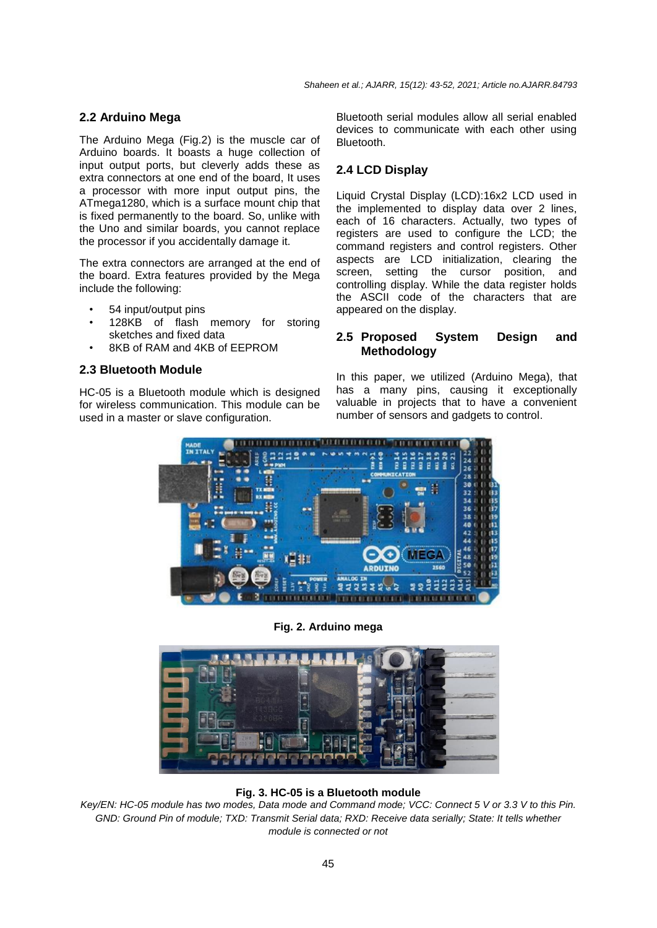# **2.2 Arduino Mega**

The Arduino Mega (Fig.2) is the muscle car of Arduino boards. It boasts a huge collection of input output ports, but cleverly adds these as extra connectors at one end of the board, It uses a processor with more input output pins, the ATmega1280, which is a surface mount chip that is fixed permanently to the board. So, unlike with the Uno and similar boards, you cannot replace the processor if you accidentally damage it.

The extra connectors are arranged at the end of the board. Extra features provided by the Mega include the following:

- 54 input/output pins
- 128KB of flash memory for storing sketches and fixed data
- 8KB of RAM and 4KB of EEPROM

#### **2.3 Bluetooth Module**

HC-05 is a Bluetooth module which is designed for wireless communication. This module can be used in a master or slave configuration.

Bluetooth serial modules allow all serial enabled devices to communicate with each other using **Bluetooth** 

## **2.4 LCD Display**

Liquid Crystal Display (LCD):16x2 LCD used in the implemented to display data over 2 lines, each of 16 characters. Actually, two types of registers are used to configure the LCD; the command registers and control registers. Other aspects are LCD initialization, clearing the screen, setting the cursor position, and controlling display. While the data register holds the ASCII code of the characters that are appeared on the display.

## **2.5 Proposed System Design and Methodology**

In this paper, we utilized (Arduino Mega), that has a many pins, causing it exceptionally valuable in projects that to have a convenient number of sensors and gadgets to control.



**Fig. 2. Arduino mega**



**Fig. 3. HC-05 is a Bluetooth module**

*Key/EN: HC-05 module has two modes, Data mode and Command mode; VCC: Connect 5 V or 3.3 V to this Pin. GND: Ground Pin of module; TXD: Transmit Serial data; RXD: Receive data serially; State: It tells whether module is connected or not*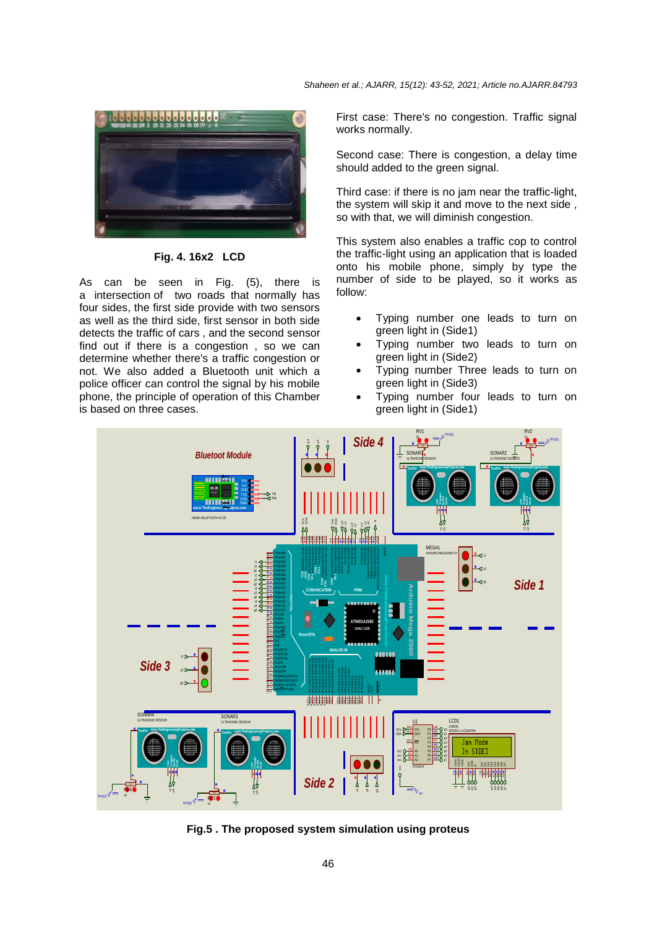

**Fig. 4. 16x2 LCD**

As can be seen in Fig. (5), there is a intersection of two roads that normally has four sides, the first side provide with two sensors as well as the third side, first sensor in both side detects the traffic of cars , and the second sensor find out if there is a congestion , so we can determine whether there's a traffic congestion or not. We also added a Bluetooth unit which a police officer can control the signal by his mobile phone, the principle of operation of this Chamber is based on three cases.

First case: There's no congestion. Traffic signal works normally.

Second case: There is congestion, a delay time should added to the green signal.

Third case: if there is no jam near the traffic-light, the system will skip it and move to the next side , so with that, we will diminish congestion.

This system also enables a traffic cop to control the traffic-light using an application that is loaded onto his mobile phone, simply by type the number of side to be played, so it works as follow:

- Typing number one leads to turn on green light in (Side1)
- Typing number two leads to turn on green light in (Side2)
- Typing number Three leads to turn on green light in (Side3)
- Typing number four leads to turn on green light in (Side1)



**Fig.5 . The proposed system simulation using proteus**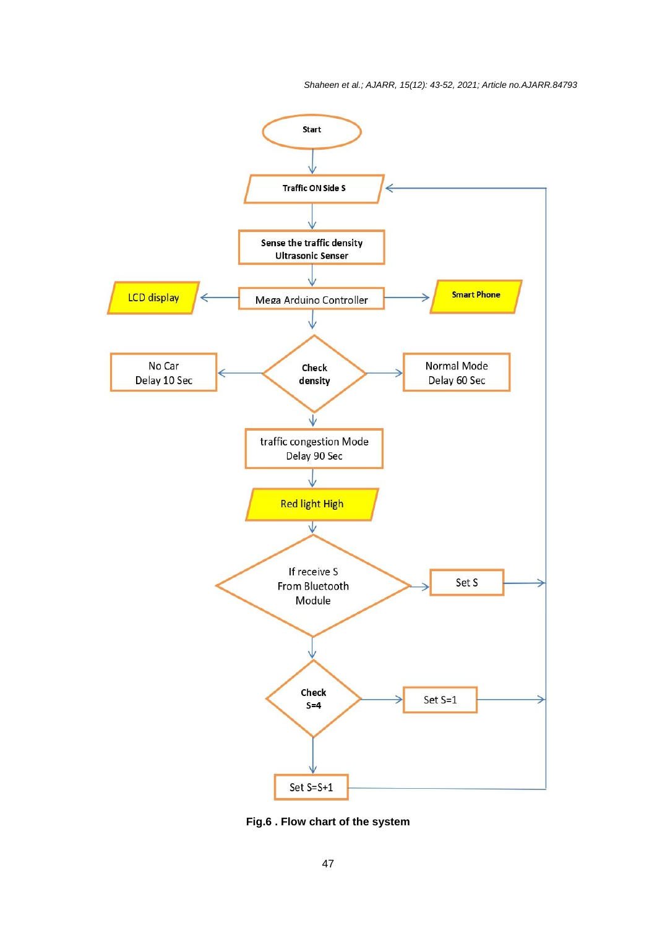*Shaheen et al.; AJARR, 15(12): 43-52, 2021; Article no.AJARR.84793*



**Fig.6 . Flow chart of the system**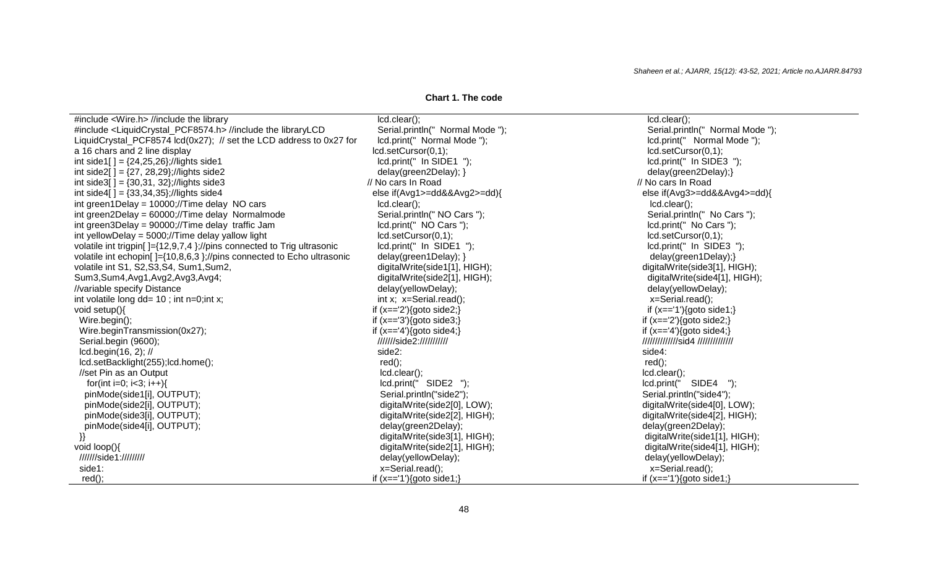**Chart 1. The code**

| #include <wire.h> //include the library</wire.h>                                      | lcd.clear();                     | $lcd.clear()$ ;                     |
|---------------------------------------------------------------------------------------|----------------------------------|-------------------------------------|
| #include <liquidcrystal_pcf8574.h> //include the libraryLCD</liquidcrystal_pcf8574.h> | Serial.println(" Normal Mode "); | Serial.println(" Normal Mode ");    |
| LiquidCrystal_PCF8574 lcd(0x27); // set the LCD address to 0x27 for                   | Icd.print(" Normal Mode");       | Icd.print(" Normal Mode");          |
| a 16 chars and 2 line display                                                         | lcd.setCursor(0,1);              | lcd.setCursor(0,1);                 |
| int side1[] = ${24,25,26}$ ;//lights side1                                            | lcd.print(" In SIDE1 ");         | lcd.print(" In SIDE3 ");            |
| int side2[] = ${27, 28,29}$ ;//lights side2                                           | delay(green2Delay); }            | delay(green2Delay);}                |
| int side3[] = $\{30,31, 32\}$ ;//lights side3                                         | // No cars In Road               | // No cars In Road                  |
| int side4[] = $\{33,34,35\}$ ;//lights side4                                          | else if(Avg1>=dd&&Avg2>=dd){     | else if(Avg3>=dd&&Avg4>=dd){        |
| int green1Delay = $10000$ ;//Time delay NO cars                                       | lcd.clear();                     | $lcd.clear()$ ;                     |
| int green2Delay = 60000;//Time delay Normalmode                                       | Serial.println(" NO Cars ");     | Serial.println(" No Cars ");        |
| int green3Delay = 90000;//Time delay traffic Jam                                      | Icd.print(" NO Cars ");          | Icd.print(" No Cars ");             |
| int yellowDelay = 5000;//Time delay yallow light                                      | lcd.setCursor(0,1);              | lcd.setCursor(0,1);                 |
| volatile int trigpin[]={12,9,7,4};//pins connected to Trig ultrasonic                 | lcd.print(" In SIDE1 ");         | lcd.print(" In SIDE3 ");            |
| volatile int echopin[]={10,8,6,3};//pins connected to Echo ultrasonic                 | delay(green1Delay); }            | delay(green1Delay);}                |
| volatile int S1, S2, S3, S4, Sum1, Sum2,                                              | digitalWrite(side1[1], HIGH);    | digitalWrite(side3[1], HIGH);       |
| Sum3,Sum4,Avg1,Avg2,Avg3,Avg4;                                                        | digitalWrite(side2[1], HIGH);    | digitalWrite(side4[1], HIGH);       |
| //variable specify Distance                                                           | delay(yellowDelay);              | delay(yellowDelay);                 |
| int volatile long $dd = 10$ ; int n=0; int x;                                         | int x; x=Serial.read();          | x=Serial.read();                    |
| void setup(){                                                                         | if $(x == '2')$ {goto side2;}    | if $(x == '1')$ {goto side1;}       |
| Wire.begin();                                                                         | if $(x == 3')$ {goto side3;}     | if $(x == '2')$ {goto side2;}       |
| Wire.beginTransmission(0x27);                                                         | if $(x == 4')$ {goto side4;}     | if $(x == 4')$ {goto side4;}        |
| Serial.begin (9600);                                                                  | ///////side2:///////////         | ////////////////sid4 ////////////// |
| $lcd.begin(16, 2);$ //                                                                | side2:                           | side4:                              |
| lcd.setBacklight(255);lcd.home();                                                     | $red()$ ;                        | $red()$ ;                           |
| //set Pin as an Output                                                                | $lcd.clear()$ ;                  | $lcd.clear()$ ;                     |
| for(int i=0; i<3; i++){                                                               | lcd.print(" SIDE2 ");            | lcd.print(" SIDE4 ");               |
| pinMode(side1[i], OUTPUT);                                                            | Serial.println("side2");         | Serial.println("side4");            |
| pinMode(side2[i], OUTPUT);                                                            | digitalWrite(side2[0], LOW);     | digitalWrite(side4[0], LOW);        |
| pinMode(side3[i], OUTPUT);                                                            | digitalWrite(side2[2], HIGH);    | digitalWrite(side4[2], HIGH);       |
| pinMode(side4[i], OUTPUT);                                                            | delay(green2Delay);              | delay(green2Delay);                 |
|                                                                                       | digitalWrite(side3[1], HIGH);    | digitalWrite(side1[1], HIGH);       |
| void $loop()$                                                                         | digitalWrite(side2[1], HIGH);    | digitalWrite(side4[1], HIGH);       |
| ////////side1://///////                                                               | delay(yellowDelay);              | delay(yellowDelay);                 |
| side1:                                                                                | x=Serial.read();                 | x=Serial.read();                    |
| $red()$ ;                                                                             | if $(x == '1')$ {goto side1;}    | if $(x == '1')$ {goto side1;}       |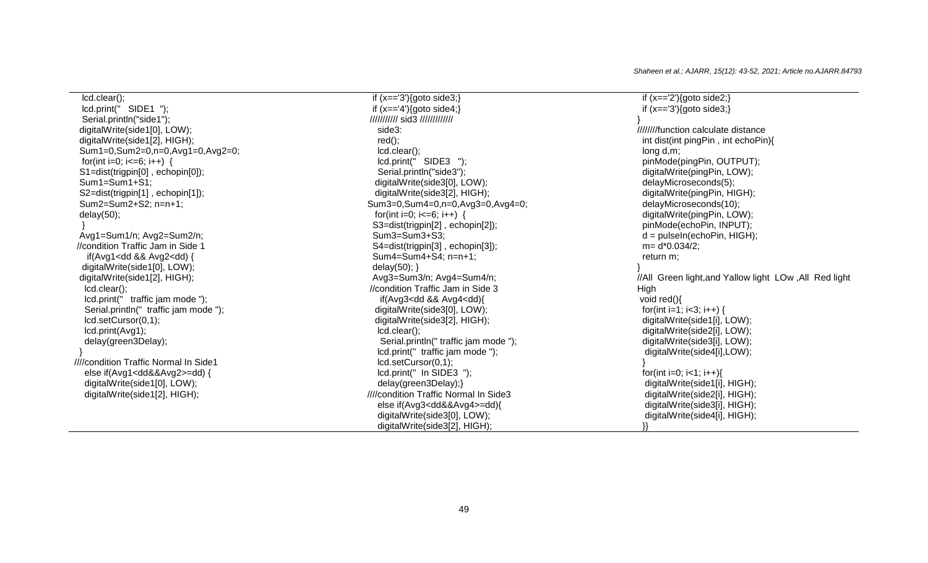lcd.clear(); lcd.print(" SIDE1 "); Serial.println("side1"); digitalWrite(side1[0], LOW); digitalWrite(side1[2], HIGH); Sum1=0,Sum2=0,n=0,Avg1=0,Avg2=0; for(int i=0; i<=6; i++) { S1=dist(trigpin[0], echopin[0]); Sum1=Sum1+S1; S2=dist(trigpin[1] , echopin[1]); Sum2=Sum2+S2; n=n+1; delay(50); } Avg1=Sum1/n; Avg2=Sum2/n; //condition Traffic Jam in Side 1 if(Avg1<dd && Avg2<dd) { digitalWrite(side1[0], LOW); digitalWrite(side1[2], HIGH); lcd.clear(); lcd.print(" traffic jam mode "); Serial.println(" traffic jam mode "); lcd.setCursor(0,1); lcd.print(Avg1); delay(green3Delay); } ////condition Traffic Normal In Side1 else if(Avg1<dd&&Avg2>=dd) { digitalWrite(side1[0], LOW); digitalWrite(side1[2], HIGH);

 if (x=='3'){goto side3;} if  $(x == 4')$ {goto side4;} /////////// sid3 ///////////// side3: red(); lcd.clear(); lcd.print(" SIDE3 "); Serial.println("side3"); digitalWrite(side3[0], LOW); digitalWrite(side3[2], HIGH); Sum3=0,Sum4=0,n=0,Avg3=0,Avg4=0; for(int i=0; i<=6; i++) { S3=dist(trigpin[2] , echopin[2]); Sum3=Sum3+S3; S4=dist(trigpin[3] , echopin[3]); Sum4=Sum4+S4; n=n+1; delay $(50)$ ; } Avg3=Sum3/n; Avg4=Sum4/n; //condition Traffic Jam in Side 3 if(Avg3<dd && Avg4<dd){ digitalWrite(side3[0], LOW); digitalWrite(side3[2], HIGH); lcd.clear(); Serial.println(" traffic jam mode "); lcd.print(" traffic jam mode "); lcd.setCursor(0,1); lcd.print(" In SIDE3 "); delay(green3Delay);} ////condition Traffic Normal In Side3 else if(Avg3<dd&&Avg4>=dd){ digitalWrite(side3[0], LOW); digitalWrite(side3[2], HIGH);

if  $(x == '2')$ {goto side2;} if  $(x == 3')$ {goto side3;} } ////////function calculate distance int dist(int pingPin , int echoPin){ long d,m; pinMode(pingPin, OUTPUT); digitalWrite(pingPin, LOW); delayMicroseconds(5); digitalWrite(pingPin, HIGH); delayMicroseconds(10); digitalWrite(pingPin, LOW); pinMode(echoPin, INPUT); d = pulseIn(echoPin, HIGH); m= d\*0.034/2; return m; } //All Green light,and Yallow light LOw ,All Red light **High** void red(){ for(int i=1; i<3; i++) { digitalWrite(side1[i], LOW); digitalWrite(side2[i], LOW); digitalWrite(side3[i], LOW); digitalWrite(side4[i],LOW); } for(int i=0; i<1; i++){ digitalWrite(side1[i], HIGH); digitalWrite(side2[i], HIGH); digitalWrite(side3[i], HIGH); digitalWrite(side4[i], HIGH); }}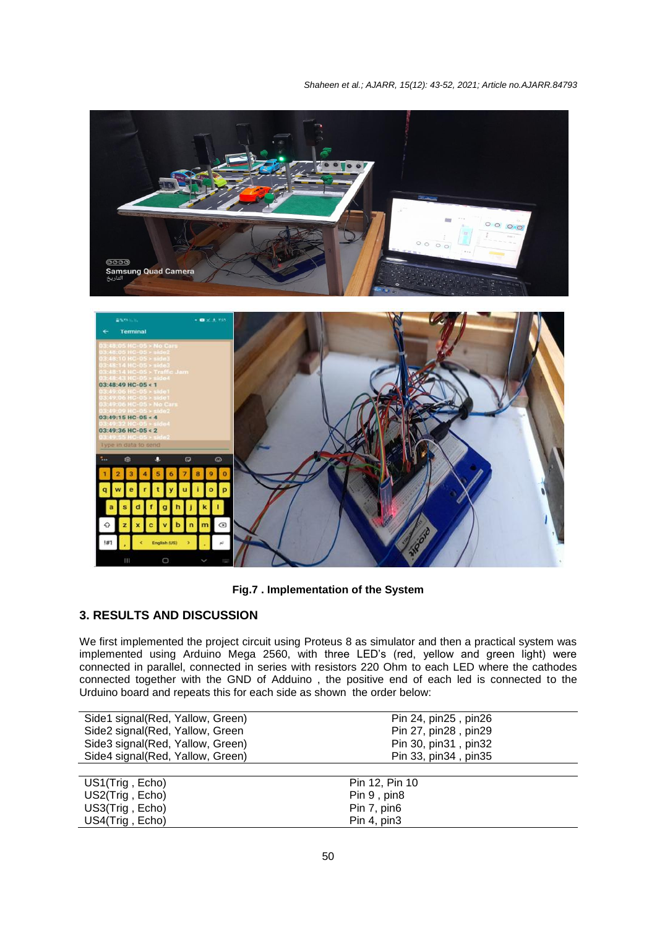

**Fig.7 . Implementation of the System**

# **3. RESULTS AND DISCUSSION**

We first implemented the project circuit using Proteus 8 as simulator and then a practical system was implemented using Arduino Mega 2560, with three LED's (red, yellow and green light) were connected in parallel, connected in series with resistors 220 Ohm to each LED where the cathodes connected together with the GND of Adduino , the positive end of each led is connected to the Urduino board and repeats this for each side as shown the order below:

| Side1 signal(Red, Yallow, Green) | Pin 24, pin 25, pin 26 |
|----------------------------------|------------------------|
| Side2 signal(Red, Yallow, Green  | Pin 27, pin 28, pin 29 |
| Side3 signal(Red, Yallow, Green) | Pin 30, pin 31, pin 32 |
| Side4 signal(Red, Yallow, Green) | Pin 33, pin 34, pin 35 |
|                                  |                        |
| US1(Trig, Echo)                  | Pin 12, Pin 10         |
| US2(Trig, Echo)                  | Pin 9, pin8            |
| US3(Trig, Echo)                  | Pin 7, pin6            |

US4(Trig, Echo) Pin 4, pin3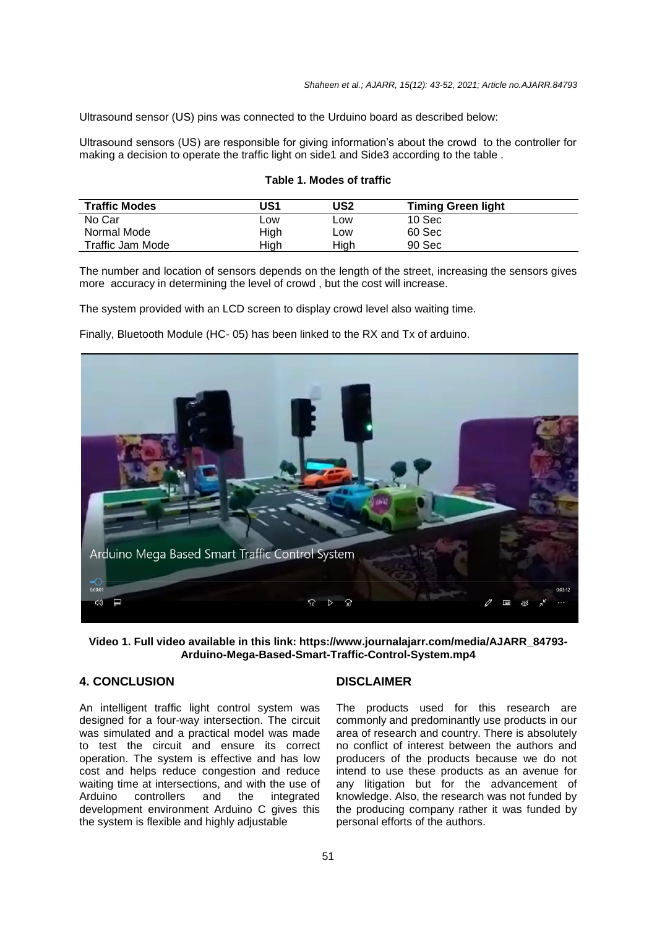Ultrasound sensor (US) pins was connected to the Urduino board as described below:

Ultrasound sensors (US) are responsible for giving information's about the crowd to the controller for making a decision to operate the traffic light on side1 and Side3 according to the table .

#### **Table 1. Modes of traffic**

| <b>Traffic Modes</b> | US1        | US2  | <b>Timing Green light</b> |  |
|----------------------|------------|------|---------------------------|--|
| No Car               | <b>LOW</b> | LOW  | 10 <sub>sec</sub>         |  |
| Normal Mode          | High       | LOW  | 60 Sec                    |  |
| Traffic Jam Mode     | High       | High | 90 Sec                    |  |

The number and location of sensors depends on the length of the street, increasing the sensors gives more accuracy in determining the level of crowd , but the cost will increase.

The system provided with an LCD screen to display crowd level also waiting time.

Finally, Bluetooth Module (HC- 05) has been linked to the RX and Tx of arduino.



**Video 1. Full video available in this link: https://www.journalajarr.com/media/AJARR\_84793- Arduino-Mega-Based-Smart-Traffic-Control-System.mp4**

# **4. CONCLUSION**

An intelligent traffic light control system was designed for a four-way intersection. The circuit was simulated and a practical model was made to test the circuit and ensure its correct operation. The system is effective and has low cost and helps reduce congestion and reduce waiting time at intersections, and with the use of<br>Arduino controllers and the integrated Arduino controllers and the integrated development environment Arduino C gives this the system is flexible and highly adjustable

## **DISCLAIMER**

The products used for this research are commonly and predominantly use products in our area of research and country. There is absolutely no conflict of interest between the authors and producers of the products because we do not intend to use these products as an avenue for any litigation but for the advancement of knowledge. Also, the research was not funded by the producing company rather it was funded by personal efforts of the authors.